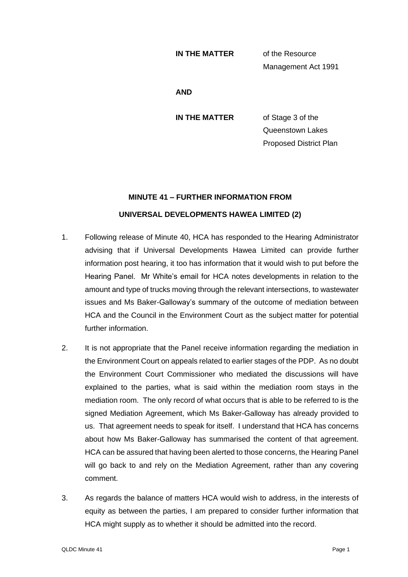## **IN THE MATTER** of the Resource

Management Act 1991

**AND**

**IN THE MATTER** of Stage 3 of the Queenstown Lakes Proposed District Plan

## **MINUTE 41 – FURTHER INFORMATION FROM**

## **UNIVERSAL DEVELOPMENTS HAWEA LIMITED (2)**

- 1. Following release of Minute 40, HCA has responded to the Hearing Administrator advising that if Universal Developments Hawea Limited can provide further information post hearing, it too has information that it would wish to put before the Hearing Panel. Mr White's email for HCA notes developments in relation to the amount and type of trucks moving through the relevant intersections, to wastewater issues and Ms Baker-Galloway's summary of the outcome of mediation between HCA and the Council in the Environment Court as the subject matter for potential further information.
- 2. It is not appropriate that the Panel receive information regarding the mediation in the Environment Court on appeals related to earlier stages of the PDP. As no doubt the Environment Court Commissioner who mediated the discussions will have explained to the parties, what is said within the mediation room stays in the mediation room. The only record of what occurs that is able to be referred to is the signed Mediation Agreement, which Ms Baker-Galloway has already provided to us. That agreement needs to speak for itself. I understand that HCA has concerns about how Ms Baker-Galloway has summarised the content of that agreement. HCA can be assured that having been alerted to those concerns, the Hearing Panel will go back to and rely on the Mediation Agreement, rather than any covering comment.
- 3. As regards the balance of matters HCA would wish to address, in the interests of equity as between the parties, I am prepared to consider further information that HCA might supply as to whether it should be admitted into the record.